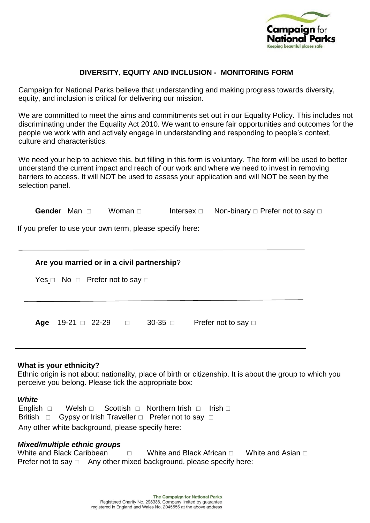

# **DIVERSITY, EQUITY AND INCLUSION - MONITORING FORM**

Campaign for National Parks believe that understanding and making progress towards diversity, equity, and inclusion is critical for delivering our mission.

We are committed to meet the aims and commitments set out in our Equality Policy. This includes not discriminating under the Equality Act 2010. We want to ensure fair opportunities and outcomes for the people we work with and actively engage in understanding and responding to people's context, culture and characteristics.

We need your help to achieve this, but filling in this form is voluntary. The form will be used to better understand the current impact and reach of our work and where we need to invest in removing barriers to access. It will NOT be used to assess your application and will NOT be seen by the selection panel.

|                                               | Gender Man n          | Woman $\sqcap$                                           | Intersex $\square$ |                          | Non-binary □ Prefer not to say □ |  |  |  |  |  |
|-----------------------------------------------|-----------------------|----------------------------------------------------------|--------------------|--------------------------|----------------------------------|--|--|--|--|--|
|                                               |                       | If you prefer to use your own term, please specify here: |                    |                          |                                  |  |  |  |  |  |
|                                               |                       |                                                          |                    |                          |                                  |  |  |  |  |  |
| Are you married or in a civil partnership?    |                       |                                                          |                    |                          |                                  |  |  |  |  |  |
| Yes $\Box$ No $\Box$ Prefer not to say $\Box$ |                       |                                                          |                    |                          |                                  |  |  |  |  |  |
|                                               |                       |                                                          |                    |                          |                                  |  |  |  |  |  |
| Age                                           | $19-21 \square 22-29$ |                                                          | $30-35$ $\Box$     | Prefer not to say $\Box$ |                                  |  |  |  |  |  |

### **What is your ethnicity?**

Ethnic origin is not about nationality, place of birth or citizenship. It is about the group to which you perceive you belong. Please tick the appropriate box:

### *White*

English  $\Box$  Welsh  $\Box$  Scottish  $\Box$  Northern Irish  $\Box$  Irish  $\Box$ British  $\Box$  Gypsy or Irish Traveller  $\Box$  Prefer not to say  $\Box$ Any other white background, please specify here:

### *Mixed/multiple ethnic groups*

White and Black Caribbean  $\Box$  White and Black African  $\Box$  White and Asian  $\Box$ Prefer not to say  $\Box$  Any other mixed background, please specify here: